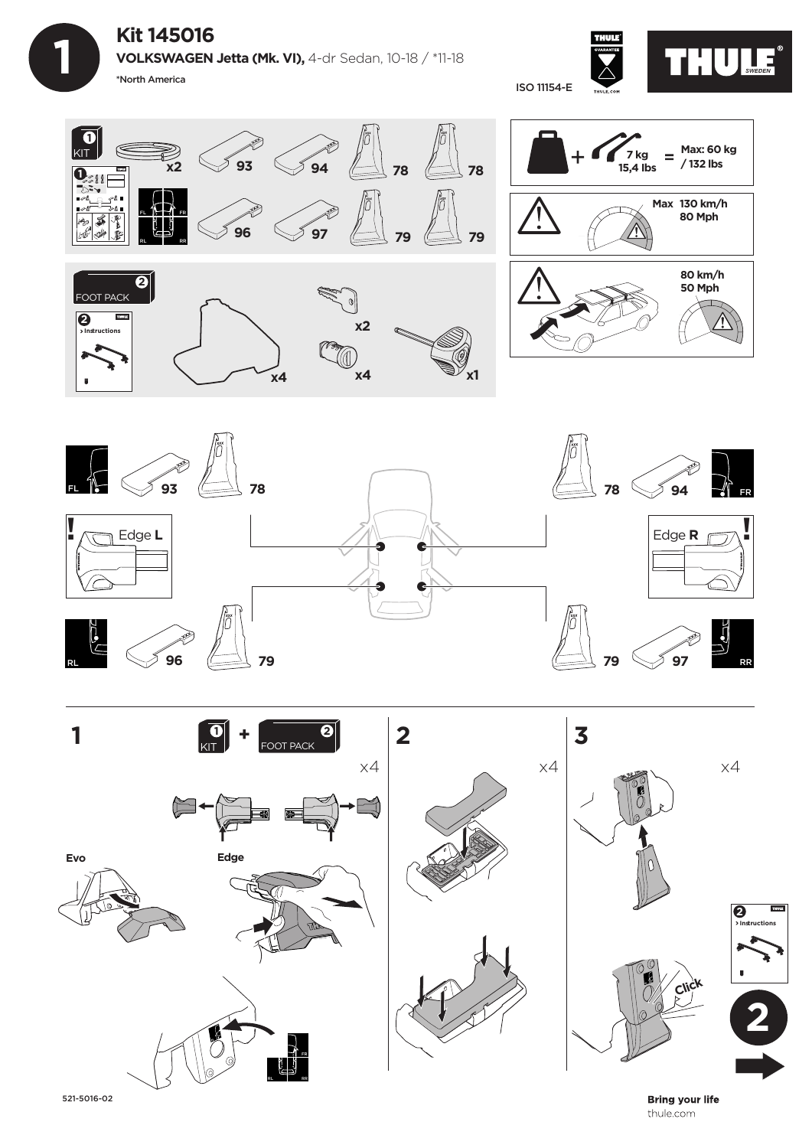**Kit 145016**

 **1**

**VOLKSWAGEN Jetta (Mk. VI),** 4-dr Sedan, 10-18 / \*11-18 \*North America









521-5016-02

**Bring your life** thule.com